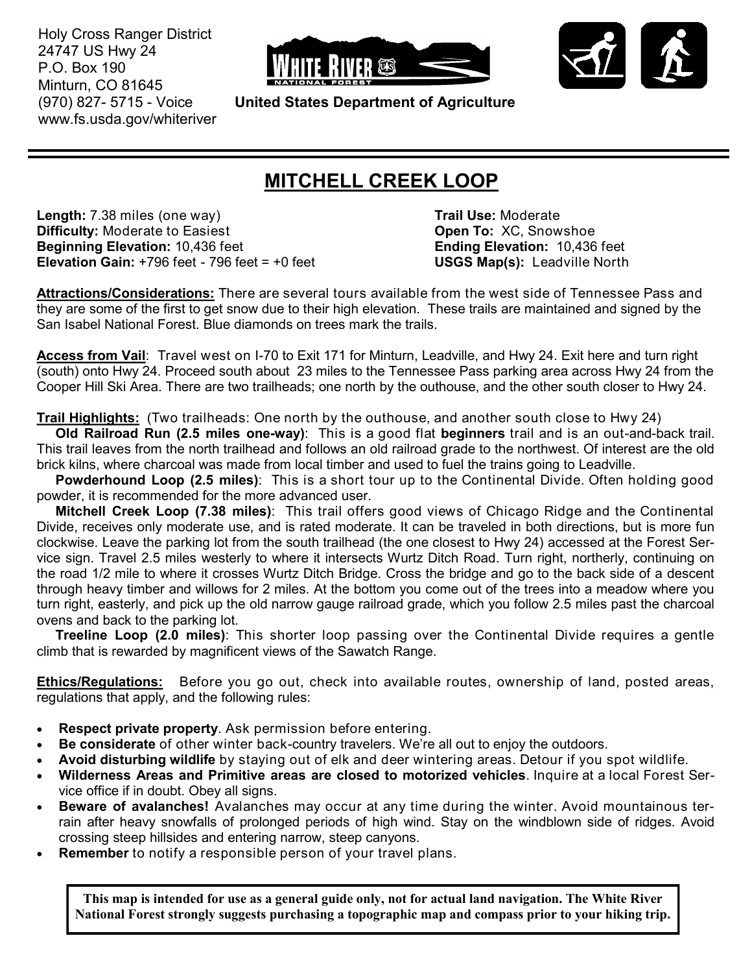Holy Cross Ranger District 24747 US Hwy 24 P.O. Box 190 Minturn, CO 81645 (970) 827- 5715 - Voice www.fs.usda.gov/whiteriver





**United States Department of Agriculture**

## **MITCHELL CREEK LOOP**

**Length:** 7.38 miles (one way) **Trail Use:** Moderate **Difficulty:** Moderate to Easiest **Open To:** XC, Snowshoe **Beginning Elevation:** 10,436 feet **Ending Elevation:** 10,436 feet **Elevation Gain:** +796 feet - 796 feet = +0 feet **USGS Map(s):** Leadville North

**Attractions/Considerations:** There are several tours available from the west side of Tennessee Pass and they are some of the first to get snow due to their high elevation. These trails are maintained and signed by the San Isabel National Forest. Blue diamonds on trees mark the trails.

**Access from Vail**: Travel west on I-70 to Exit 171 for Minturn, Leadville, and Hwy 24. Exit here and turn right (south) onto Hwy 24. Proceed south about 23 miles to the Tennessee Pass parking area across Hwy 24 from the Cooper Hill Ski Area. There are two trailheads; one north by the outhouse, and the other south closer to Hwy 24.

**Trail Highlights:** (Two trailheads: One north by the outhouse, and another south close to Hwy 24)

 **Old Railroad Run (2.5 miles one-way)**: This is a good flat **beginners** trail and is an out-and-back trail. This trail leaves from the north trailhead and follows an old railroad grade to the northwest. Of interest are the old brick kilns, where charcoal was made from local timber and used to fuel the trains going to Leadville.

 **Powderhound Loop (2.5 miles)**: This is a short tour up to the Continental Divide. Often holding good powder, it is recommended for the more advanced user.

 **Mitchell Creek Loop (7.38 miles)**: This trail offers good views of Chicago Ridge and the Continental Divide, receives only moderate use, and is rated moderate. It can be traveled in both directions, but is more fun clockwise. Leave the parking lot from the south trailhead (the one closest to Hwy 24) accessed at the Forest Service sign. Travel 2.5 miles westerly to where it intersects Wurtz Ditch Road. Turn right, northerly, continuing on the road 1/2 mile to where it crosses Wurtz Ditch Bridge. Cross the bridge and go to the back side of a descent through heavy timber and willows for 2 miles. At the bottom you come out of the trees into a meadow where you turn right, easterly, and pick up the old narrow gauge railroad grade, which you follow 2.5 miles past the charcoal ovens and back to the parking lot.

 **Treeline Loop (2.0 miles)**: This shorter loop passing over the Continental Divide requires a gentle climb that is rewarded by magnificent views of the Sawatch Range.

**Ethics/Regulations:** Before you go out, check into available routes, ownership of land, posted areas, regulations that apply, and the following rules:

- **Respect private property**. Ask permission before entering.
- **Be considerate** of other winter back-country travelers. We're all out to enjoy the outdoors.
- **Avoid disturbing wildlife** by staying out of elk and deer wintering areas. Detour if you spot wildlife.
- **Wilderness Areas and Primitive areas are closed to motorized vehicles**. Inquire at a local Forest Service office if in doubt. Obey all signs.
- **Beware of avalanches!** Avalanches may occur at any time during the winter. Avoid mountainous terrain after heavy snowfalls of prolonged periods of high wind. Stay on the windblown side of ridges. Avoid crossing steep hillsides and entering narrow, steep canyons.
- **Remember** to notify a responsible person of your travel plans.

**This map is intended for use as a general guide only, not for actual land navigation. The White River National Forest strongly suggests purchasing a topographic map and compass prior to your hiking trip.**